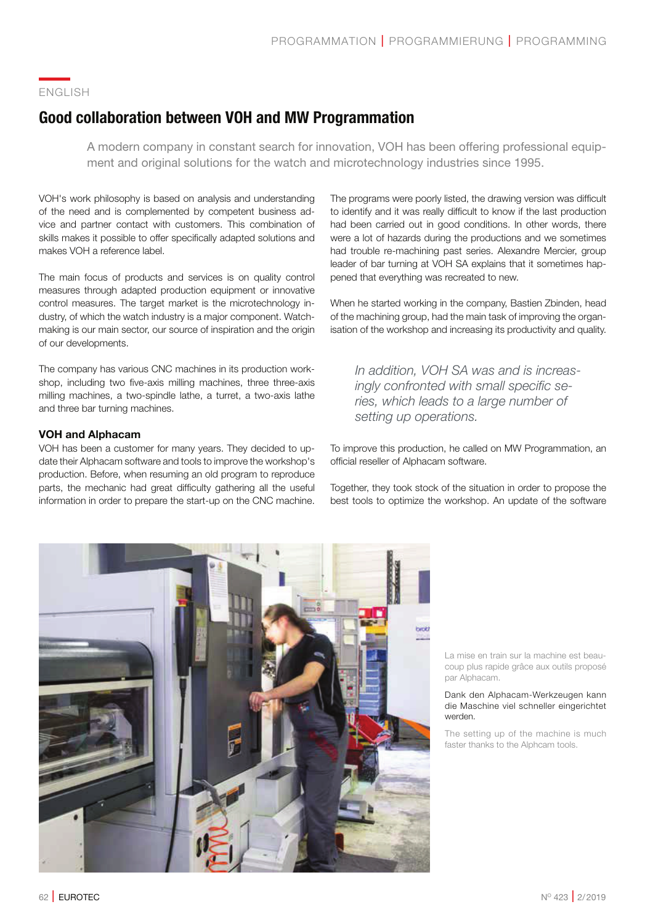## ENGLISH

# **Good collaboration between VOH and MW Programmation**

A modern company in constant search for innovation, VOH has been offering professional equipment and original solutions for the watch and microtechnology industries since 1995.

VOH's work philosophy is based on analysis and understanding of the need and is complemented by competent business advice and partner contact with customers. This combination of skills makes it possible to offer specifically adapted solutions and makes VOH a reference label.

The main focus of products and services is on quality control measures through adapted production equipment or innovative control measures. The target market is the microtechnology industry, of which the watch industry is a major component. Watchmaking is our main sector, our source of inspiration and the origin of our developments.

The company has various CNC machines in its production workshop, including two five-axis milling machines, three three-axis milling machines, a two-spindle lathe, a turret, a two-axis lathe and three bar turning machines.

### **VOH and Alphacam**

VOH has been a customer for many years. They decided to update their Alphacam software and tools to improve the workshop's production. Before, when resuming an old program to reproduce parts, the mechanic had great difficulty gathering all the useful information in order to prepare the start-up on the CNC machine.

The programs were poorly listed, the drawing version was difficult to identify and it was really difficult to know if the last production had been carried out in good conditions. In other words, there were a lot of hazards during the productions and we sometimes had trouble re-machining past series. Alexandre Mercier, group leader of bar turning at VOH SA explains that it sometimes happened that everything was recreated to new.

When he started working in the company, Bastien Zbinden, head of the machining group, had the main task of improving the organisation of the workshop and increasing its productivity and quality.

In addition, VOH SA was and is increas*ingly confronted with small specific se*ries, which leads to a large number of *zetting up operations.* 

To improve this production, he called on MW Programmation, an official reseller of Alphacam software.

Together, they took stock of the situation in order to propose the best tools to optimize the workshop. An update of the software



La mise en train sur la machine est beaucoup plus rapide grâce aux outils proposé par Alphacam.

#### Dank den Alphacam-Werkzeugen kann die Maschine viel schneller eingerichtet werden.

The setting up of the machine is much faster thanks to the Alphcam tools.